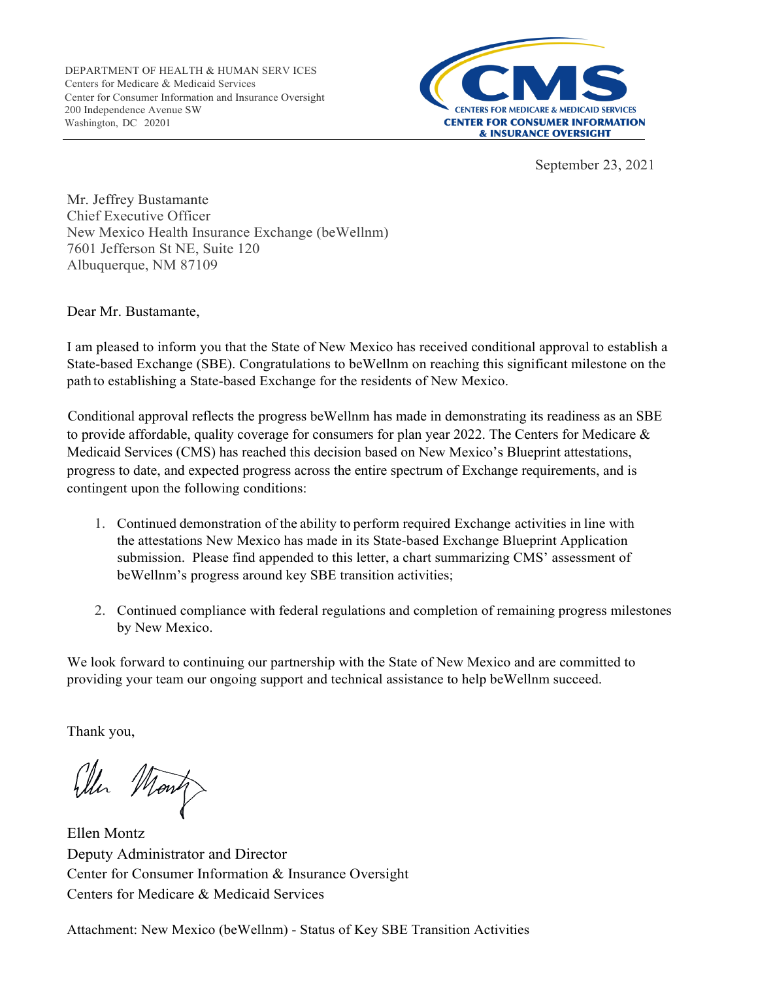

September 23, 2021

Mr. Jeffrey Bustamante Chief Executive Officer New Mexico Health Insurance Exchange (beWellnm) 7601 Jefferson St NE, Suite 120 Albuquerque, NM 87109

Dear Mr. Bustamante,

I am pleased to inform you that the State of New Mexico has received conditional approval to establish a State-based Exchange (SBE). Congratulations to beWellnm on reaching this significant milestone on the path to establishing a State-based Exchange for the residents of New Mexico.

Conditional approval reflects the progress beWellnm has made in demonstrating its readiness as an SBE to provide affordable, quality coverage for consumers for plan year 2022. The Centers for Medicare & Medicaid Services (CMS) has reached this decision based on New Mexico's Blueprint attestations, progress to date, and expected progress across the entire spectrum of Exchange requirements, and is contingent upon the following conditions:

- 1. Continued demonstration of the ability to perform required Exchange activities in line with the attestations New Mexico has made in its State-based Exchange Blueprint Application submission. Please find appended to this letter, a chart summarizing CMS' assessment of beWellnm's progress around key SBE transition activities;
- 2. Continued compliance with federal regulations and completion of remaining progress milestones by New Mexico.

We look forward to continuing our partnership with the State of New Mexico and are committed to providing your team our ongoing support and technical assistance to help beWellnm succeed.

Thank you,

Eller Mont

Ellen Montz Deputy Administrator and Director Center for Consumer Information & Insurance Oversight Centers for Medicare & Medicaid Services

Attachment: New Mexico (beWellnm) - Status of Key SBE Transition Activities